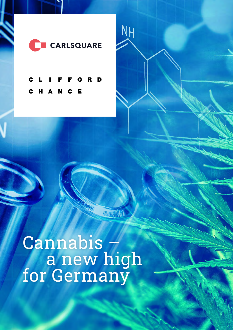

**NH** 

C R D  $\mathbf c$ N C H A E

 Cannabis – **a** new high for Germany

SAF II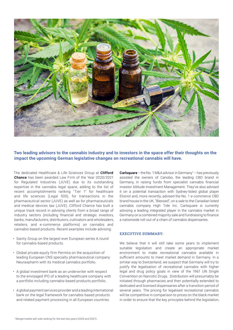

# **Two leading advisors to the cannabis industry and to investors in the space offer their thoughts on the impact the upcoming German legislative changes on recreational cannabis will have.**

The dedicated Healthcare & Life Sciences Group at **Clifford Chance** has been awarded Law Firm of the Year 2020/2021 for Regulated Industries (JUVE) due to its outstanding expertise in the cannabis legal space, adding to the list of recent accomplishments ranking "Tier 1" for healthcare and life sciences (Legal 500), for transactions in the pharmaceutical sector (JUVE) as well as for pharmaceuticals and medical devices law (JUVE). Clifford Chance has built a unique track record in advising clients from a broad range of industry sectors (including financial and strategic investors, banks, manufacturers, distributors, cultivators and wholesalers, retailers, and e-commerce platforms) on cannabis and cannabis-based products. Recent examples include advising:

- Sanity Group on the largest ever European series A round for cannabis-based products.
- Global private equity firm Permira on the acquisition of leading European CNS specialty pharmaceutical company Neuraxpharm with its medical cannabis portfolio.
- A global investment bank as an underwriter with respect to the envisaged IPO of a leading healthcare company with a portfolio including cannabis-based products portfolio.
- A global payment services provider and a leading international bank on the legal framework for cannabis-based products and related payment processing in all European countries.

**Carlsquare** – the No. 1 M&A advisor in Germany<sup>1</sup> – has previously assisted the owners of Canobo, the leading CBD brand in Germany, in raising funds from specialist cannabis financial investor Altitude Investment Management. They've also advised it on a potential transaction with Sydney-listed global player Elixinol and, more recently, advised the No. 1 e-commerce CBD brand house in the UK, "Blessed", on a sale to the Canadian listed cannabis company High Tide Inc. Carlsquare is currently advising a leading integrated player in the cannabis market in Germany on a combined majority sale and fundraising to finance a nationwide roll-out of a chain of cannabis dispensaries.

### **EXECUTIVE SUMMARY:**

We believe that it will still take some vears to implement suitable legislation and create an appropriate market environment to make recreational cannabis available in sufficient amounts to meet market demand in Germany. In a similar way to Switzerland, we suspect that Germany will try to justify the legalisation of recreational cannabis with higher legal and drug policy goals in view of the 1961 UN Single Convention on Narcotic Drugs. Distribution will presumably be initiated through pharmacies and then potentially extended to dedicated and licensed dispensaries after a transition period of several years. The pricing for legalised recreational cannabis will be competitive in comparison to prices on the black market in order to ensure that the key principles behind the legislation,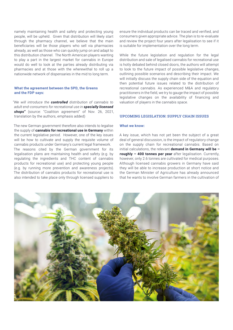namely maintaining health and safety and protecting young people, will be upheld. Given that distribution will likely start through the pharmacy channel, we believe that the main beneficiaries will be those players who sell via pharmacies already, as well as those who can quickly jump on and adapt to this distribution channel. The North American players wanting to play a part in the largest market for cannabis in Europe would do well to look at the parties already distributing via pharmacies and at those with the wherewithal to roll up a nationwide network of dispensaries in the mid to long term.

#### **What the agreement between the SPD, the Greens and the FDP says:**

*"We will introduce the controlled distribution of cannabis to adult end-consumers for recreational use in specially licensed shops"* (source: "Coalition agreement" of Nov. 26, 2021, translation by the authors, emphasis added)

The new German government therefore also intends to legalise the supply of **cannabis for recreational use in Germany** within the current legislative period. However, one of the key issues will be how to cultivate and supply the requisite volume of cannabis products under Germany's current legal framework. The reasons cited by the German government for its legalisation plans are maintaining health and safety (e.g. by regulating the ingredients and THC content of cannabis products for recreational use) and protecting young people (e.g. by running more prevention and awareness projects). The distribution of cannabis products for recreational use is also intended to take place only through licensed suppliers to ensure the individual products can be traced and verified, and consumers given appropriate advice. The plan is to re-evaluate and review the project four years after legalisation to see if it is suitable for implementation over the long term.

While the future legislation and regulation for the legal distribution and sale of legalised cannabis for recreational use is hotly debated behind closed doors, the authors will attempt to look to the future impact of possible legislative changes, outlining possible scenarios and describing their impact. We will initially discuss the supply chain side of the equation and then potential future issues related to the distribution of recreational cannabis. As experienced M&A and regulatory practitioners in the field, we try to gauge the impact of possible legislative changes on the availability of financing and valuation of players in the cannabis space.

#### **UPCOMING LEGISLATION: SUPPLY CHAIN ISSUES**

#### **What we know:**

A key issue, which has not yet been the subject of a great deal of general discussion, is the impact of regulatory change on the supply chain for recreational cannabis. Based on initial calculations, the relevant **demand in Germany will be – roughly – 400 tonnes per year** after legalisation. Currently, however, only 2.6 tonnes are cultivated for medical purposes. Although licensed cannabis growers in Germany have said they will be able to increase production at short notice and the German Minister of Agriculture has already announced that he wants to involve German farmers in the cultivation of

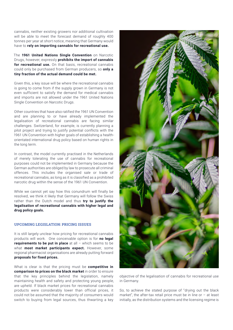cannabis, neither existing growers nor additional cultivation will be able to meet the forecast demand of roughly 400 tonnes per year at short notice, meaning that Germany would have to **rely on importing cannabis for recreational use.** 

The **1961 United Nations Single Convention** on Narcotic Drugs, however, expressly **prohibits the import of cannabis for recreational use.** On that basis, recreational cannabis could only be purchased from German producers, so **only a tiny fraction of the actual demand could be met.** 

Given this, a key issue will be where the recreational cannabis is going to come from if the supply grown in Germany is not even sufficient to satisfy the demand for medical cannabis and imports are not allowed under the 1961 United Nations Single Convention on Narcotic Drugs.

Other countries that have also ratified the 1961 UN Convention and are planning to or have already implemented the legalisation of recreational cannabis are facing similar challenges. Switzerland, for example, is currently planning a pilot project and trying to justify potential conflicts with the 1961 UN Convention with higher goals of establishing a healthorientated international drug policy based on human rights in the long term.

In contrast, the model currently practised in the Netherlands of merely tolerating the use of cannabis for recreational purposes could not be implemented in Germany because the German authorities are obliged by law to prosecute all criminal offences. This includes the organised sale or trade of recreational cannabis, as long as it is classified as a prohibited narcotic drug within the sense of the 1961 UN Convention.

While we cannot yet say how this conundrum will finally be resolved, we think it likely that Germany will follow the Swiss rather than the Dutch model and thus **try to justify the legalisation of recreational cannabis with higher legal and drug policy goals.** 

#### **UPCOMING LEGISLATION: PRICING ISSUES**

It is still largely unclear how pricing for recreational cannabis products will work. One conceivable option is for **no legal requirements to be put in place** at all – which seems to be what **most market participants expect.** However, some regional pharmacist organisations are already putting forward **proposals for fixed prices.** 

What is clear is that the pricing must be **competitive in comparison to prices on the black market** in order to ensure that the key principles behind the legislation, namely maintaining health and safety and protecting young people, are upheld. If black market prices for recreational cannabis products were considerably lower than official prices, it could not be assumed that the majority of consumers would switch to buying from legal sources, thus thwarting a key



objective of the legalisation of cannabis for recreational use in Germany.

So, to achieve the stated purpose of "drying out the black market", the after-tax retail price must be in line or – at least initially, as the distribution systems and the licensing regime is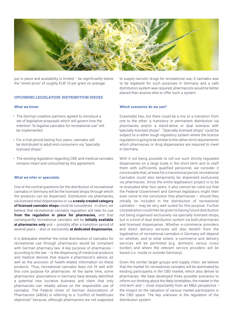

put in place and availability is limited – be significantly below the "street price" of roughly EUR 10 per gram on average.

## **UPCOMING LEGISLATION: DISTRIBUTION ISSUES**

#### **What we know:**

- The German coalition partners agreed to introduce a set of legislative proposals which will govern how the intention "to legalise cannabis for recreational use" will be implemented.
- For a trial period lasting four years, cannabis will be distributed to adult end-consumers via "specially licensed shops".
- The existing legislation regarding CBD and medical cannabis remains intact and untouched by this agreement.

#### **What we infer or speculate:**

One of the central questions for the distribution of recreational cannabis in Germany will be the licensed shops through which the products can be dispensed. Distribution via pharmacies, via licensed retail dispensaries or via **a newly created category of licensed cannabis shops** could be considered. In short, we believe that recreational cannabis regulation will take its cue **from the regulation in place for pharmacies,** and that consequently recreational cannabis will be **initially available at pharmacies only** and – possibly after a transition period of several years – also or exclusively **at dedicated dispensaries.**

It is debatable whether the initial distribution of cannabis for recreational use through pharmacies would be compliant with German pharmacy law. A key purpose of pharmacies – according to the law – is the dispensing of medicinal products and medical devices that require a pharmacist's advice, as well as the provision of health-related information on these products. Thus, recreational cannabis does not fit well with this core purpose for pharmacies. At the same time, some pharmacists' associations in Germany have already identified a potential new lucrative business and claim that only pharmacists can reliably advise on the responsible use of cannabis. The Federal Union of German Associations of Pharmacists (ABDA) is referring to a "conflict of healthcare objectives" because, although pharmacists are not supposed

to supply narcotic drugs for recreational use, if cannabis was to be legalized for such purposes in Germany and a safe distribution system was required, pharmacists would be better placed than anyone else to offer such a system.

#### **Which scenarios do we see?**

Essentially two, but there could be a mix or a transition from one to the other: a transitory or permanent distribution via pharmacies and/or a stand-alone or dual scenario with "specially licensed shops". "Specially licensed shops" could be subject to a rather tough regulatory system where the licence regulation is going to be similar to the rather strict requirements which pharmacies or drug dispensaries are required to meet in Germany.

With it not being possible to roll out such strictly regulated dispensaries on a large scale in the short term and to staff them with sufficiently qualified personnel, we consider it conceivable that, at least for a transitional period, recreational Cannabis could also temporarily be dispensed exclusively via pharmacies. Since the entire legalisation project is to be re-evaluated after four years, it also cannot be ruled out that the Federal Government and German legislators might then even come to the conclusion that pharmacies – should they initially be included in the distribution of recreational cannabis – may be very well suited for this purpose. Further consideration could then be given to having future distribution not being organised exclusively via specially licensed shops, but in a kind of dual distribution system via both pharmacies and licensed dispensaries. Whether e-commerce providers and direct delivery services will also benefit from the legalisation of recreational cannabis in Germany will depend on whether, and to what extent, e-commerce and delivery services will be permitted (e.g. domestic versus crossborder) and where the relevant service providers will be based (i.e. inside or outside Germany).

Given the similar target groups and supply chain, we believe that the market for recreational cannabis will be dominated by existing participants in the CBD market, which also deliver to pharmacies. We have developed three possible scenarios to inform our thinking about the likely timetables, the market in the mid-term and – most importantly from an M&A perspective – the impact on the valuation of various market participants in the CBD space. The key unknown is the regulation of the distribution system.